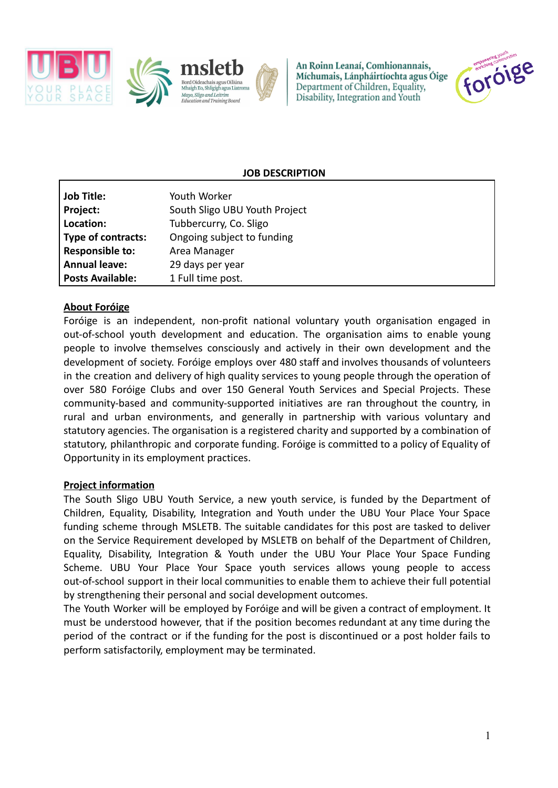

An Roinn Leanaí, Comhionannais, Míchumais, Lánpháirtíochta agus Óige Department of Children, Equality, Disability, Integration and Youth



## **JOB DESCRIPTION**

| <b>Job Title:</b>         | Youth Worker                  |
|---------------------------|-------------------------------|
| Project:                  | South Sligo UBU Youth Project |
| Location:                 | Tubbercurry, Co. Sligo        |
| <b>Type of contracts:</b> | Ongoing subject to funding    |
| <b>Responsible to:</b>    | Area Manager                  |
| <b>Annual leave:</b>      | 29 days per year              |
| <b>Posts Available:</b>   | 1 Full time post.             |

### **About Foróige**

Foróige is an independent, non-profit national voluntary youth organisation engaged in out-of-school youth development and education. The organisation aims to enable young people to involve themselves consciously and actively in their own development and the development of society. Foróige employs over 480 staff and involves thousands of volunteers in the creation and delivery of high quality services to young people through the operation of over 580 Foróige Clubs and over 150 General Youth Services and Special Projects. These community-based and community-supported initiatives are ran throughout the country, in rural and urban environments, and generally in partnership with various voluntary and statutory agencies. The organisation is a registered charity and supported by a combination of statutory, philanthropic and corporate funding. Foróige is committed to a policy of Equality of Opportunity in its employment practices.

#### **Project information**

The South Sligo UBU Youth Service, a new youth service, is funded by the Department of Children, Equality, Disability, Integration and Youth under the UBU Your Place Your Space funding scheme through MSLETB. The suitable candidates for this post are tasked to deliver on the Service Requirement developed by MSLETB on behalf of the Department of Children, Equality, Disability, Integration & Youth under the UBU Your Place Your Space Funding Scheme. UBU Your Place Your Space youth services allows young people to access out-of-school support in their local communities to enable them to achieve their full potential by strengthening their personal and social development outcomes.

The Youth Worker will be employed by Foróige and will be given a contract of employment. It must be understood however, that if the position becomes redundant at any time during the period of the contract or if the funding for the post is discontinued or a post holder fails to perform satisfactorily, employment may be terminated.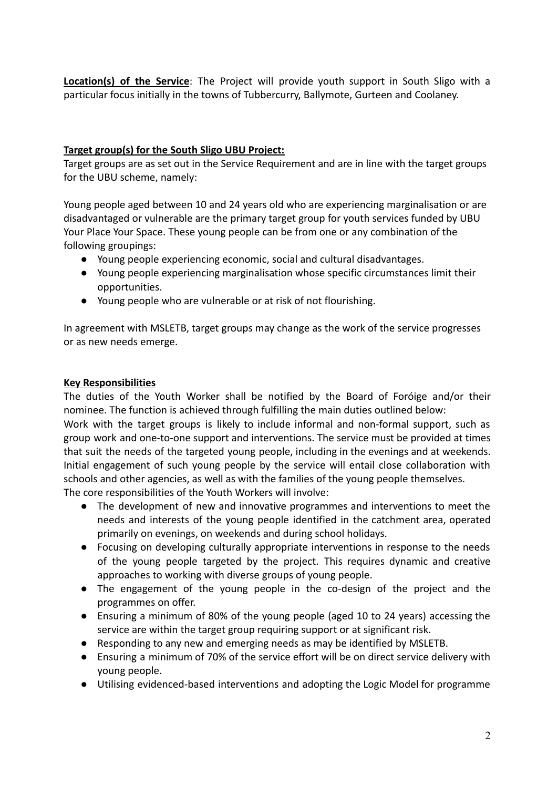**Location(s) of the Service**: The Project will provide youth support in South Sligo with a particular focus initially in the towns of Tubbercurry, Ballymote, Gurteen and Coolaney.

# **Target group(s) for the South Sligo UBU Project:**

Target groups are as set out in the Service Requirement and are in line with the target groups for the UBU scheme, namely:

Young people aged between 10 and 24 years old who are experiencing marginalisation or are disadvantaged or vulnerable are the primary target group for youth services funded by UBU Your Place Your Space. These young people can be from one or any combination of the following groupings:

- Young people experiencing economic, social and cultural disadvantages.
- Young people experiencing marginalisation whose specific circumstances limit their opportunities.
- Young people who are vulnerable or at risk of not flourishing.

In agreement with MSLETB, target groups may change as the work of the service progresses or as new needs emerge.

### **Key Responsibilities**

The duties of the Youth Worker shall be notified by the Board of Foróige and/or their nominee. The function is achieved through fulfilling the main duties outlined below:

Work with the target groups is likely to include informal and non-formal support, such as group work and one-to-one support and interventions. The service must be provided at times that suit the needs of the targeted young people, including in the evenings and at weekends. Initial engagement of such young people by the service will entail close collaboration with schools and other agencies, as well as with the families of the young people themselves. The core responsibilities of the Youth Workers will involve:

- The development of new and innovative programmes and interventions to meet the needs and interests of the young people identified in the catchment area, operated primarily on evenings, on weekends and during school holidays.
- Focusing on developing culturally appropriate interventions in response to the needs of the young people targeted by the project. This requires dynamic and creative approaches to working with diverse groups of young people.
- The engagement of the young people in the co-design of the project and the programmes on offer.
- Ensuring a minimum of 80% of the young people (aged 10 to 24 years) accessing the service are within the target group requiring support or at significant risk.
- Responding to any new and emerging needs as may be identified by MSLETB.
- Ensuring a minimum of 70% of the service effort will be on direct service delivery with young people.
- Utilising evidenced-based interventions and adopting the Logic Model for programme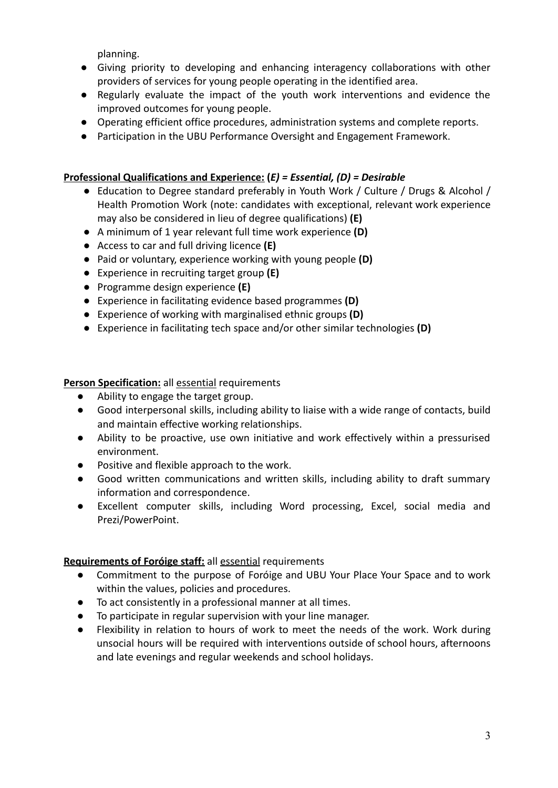planning.

- Giving priority to developing and enhancing interagency collaborations with other providers of services for young people operating in the identified area.
- Regularly evaluate the impact of the youth work interventions and evidence the improved outcomes for young people.
- Operating efficient office procedures, administration systems and complete reports.
- Participation in the UBU Performance Oversight and Engagement Framework.

# **Professional Qualifications and Experience: (***E) = Essential, (D) = Desirable*

- Education to Degree standard preferably in Youth Work / Culture / Drugs & Alcohol / Health Promotion Work (note: candidates with exceptional, relevant work experience may also be considered in lieu of degree qualifications) **(E)**
- A minimum of 1 year relevant full time work experience **(D)**
- Access to car and full driving licence **(E)**
- Paid or voluntary, experience working with young people **(D)**
- Experience in recruiting target group **(E)**
- Programme design experience **(E)**
- Experience in facilitating evidence based programmes **(D)**
- Experience of working with marginalised ethnic groups **(D)**
- Experience in facilitating tech space and/or other similar technologies **(D)**

### **Person Specification:** all **essential** requirements

- Ability to engage the target group.
- Good interpersonal skills, including ability to liaise with a wide range of contacts, build and maintain effective working relationships.
- Ability to be proactive, use own initiative and work effectively within a pressurised environment.
- Positive and flexible approach to the work.
- Good written communications and written skills, including ability to draft summary information and correspondence.
- Excellent computer skills, including Word processing, Excel, social media and Prezi/PowerPoint.

# **Requirements of Foróige staff:** all essential requirements

- Commitment to the purpose of Foróige and UBU Your Place Your Space and to work within the values, policies and procedures.
- To act consistently in a professional manner at all times.
- To participate in regular supervision with your line manager.
- Flexibility in relation to hours of work to meet the needs of the work. Work during unsocial hours will be required with interventions outside of school hours, afternoons and late evenings and regular weekends and school holidays.